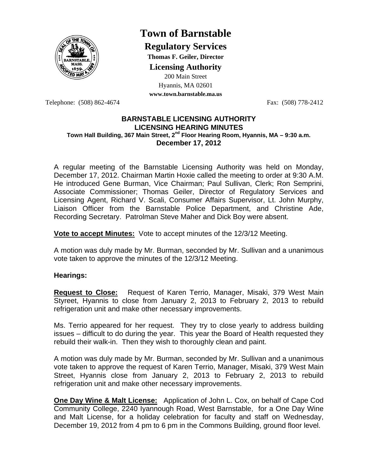

# **Town of Barnstable**

**Regulatory Services**

**Thomas F. Geiler, Director** 

**Licensing Authority**

200 Main Street Hyannis, MA 02601

**www.town.barnstable.ma.us**

Telephone: (508) 862-4674 Fax: (508) 778-2412

#### **BARNSTABLE LICENSING AUTHORITY LICENSING HEARING MINUTES Town Hall Building, 367 Main Street, 2nd Floor Hearing Room, Hyannis, MA – 9:30 a.m. December 17, 2012**

A regular meeting of the Barnstable Licensing Authority was held on Monday, December 17, 2012. Chairman Martin Hoxie called the meeting to order at 9:30 A.M. He introduced Gene Burman, Vice Chairman; Paul Sullivan, Clerk; Ron Semprini, Associate Commissioner; Thomas Geiler, Director of Regulatory Services and Licensing Agent, Richard V. Scali, Consumer Affairs Supervisor, Lt. John Murphy, Liaison Officer from the Barnstable Police Department, and Christine Ade, Recording Secretary. Patrolman Steve Maher and Dick Boy were absent.

**Vote to accept Minutes:** Vote to accept minutes of the 12/3/12 Meeting.

A motion was duly made by Mr. Burman, seconded by Mr. Sullivan and a unanimous vote taken to approve the minutes of the 12/3/12 Meeting.

## **Hearings:**

**Request to Close:** Request of Karen Terrio, Manager, Misaki, 379 West Main Styreet, Hyannis to close from January 2, 2013 to February 2, 2013 to rebuild refrigeration unit and make other necessary improvements.

Ms. Terrio appeared for her request. They try to close yearly to address building issues – difficult to do during the year. This year the Board of Health requested they rebuild their walk-in. Then they wish to thoroughly clean and paint.

A motion was duly made by Mr. Burman, seconded by Mr. Sullivan and a unanimous vote taken to approve the request of Karen Terrio, Manager, Misaki, 379 West Main Street, Hyannis close from January 2, 2013 to February 2, 2013 to rebuild refrigeration unit and make other necessary improvements.

**One Day Wine & Malt License:** Application of John L. Cox, on behalf of Cape Cod Community College, 2240 Iyannough Road, West Barnstable, for a One Day Wine and Malt License, for a holiday celebration for faculty and staff on Wednesday, December 19, 2012 from 4 pm to 6 pm in the Commons Building, ground floor level.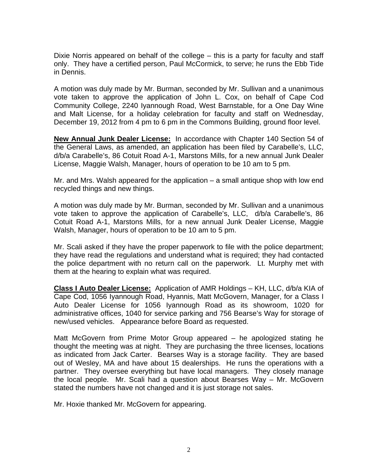Dixie Norris appeared on behalf of the college – this is a party for faculty and staff only. They have a certified person, Paul McCormick, to serve; he runs the Ebb Tide in Dennis.

A motion was duly made by Mr. Burman, seconded by Mr. Sullivan and a unanimous vote taken to approve the application of John L. Cox, on behalf of Cape Cod Community College, 2240 Iyannough Road, West Barnstable, for a One Day Wine and Malt License, for a holiday celebration for faculty and staff on Wednesday, December 19, 2012 from 4 pm to 6 pm in the Commons Building, ground floor level.

**New Annual Junk Dealer License:** In accordance with Chapter 140 Section 54 of the General Laws, as amended, an application has been filed by Carabelle's, LLC, d/b/a Carabelle's, 86 Cotuit Road A-1, Marstons Mills, for a new annual Junk Dealer License, Maggie Walsh, Manager, hours of operation to be 10 am to 5 pm.

Mr. and Mrs. Walsh appeared for the application – a small antique shop with low end recycled things and new things.

A motion was duly made by Mr. Burman, seconded by Mr. Sullivan and a unanimous vote taken to approve the application of Carabelle's, LLC, d/b/a Carabelle's, 86 Cotuit Road A-1, Marstons Mills, for a new annual Junk Dealer License, Maggie Walsh, Manager, hours of operation to be 10 am to 5 pm.

Mr. Scali asked if they have the proper paperwork to file with the police department; they have read the regulations and understand what is required; they had contacted the police department with no return call on the paperwork. Lt. Murphy met with them at the hearing to explain what was required.

**Class I Auto Dealer License:** Application of AMR Holdings – KH, LLC, d/b/a KIA of Cape Cod, 1056 Iyannough Road, Hyannis, Matt McGovern, Manager, for a Class I Auto Dealer License for 1056 Iyannough Road as its showroom, 1020 for administrative offices, 1040 for service parking and 756 Bearse's Way for storage of new/used vehicles. Appearance before Board as requested.

Matt McGovern from Prime Motor Group appeared – he apologized stating he thought the meeting was at night. They are purchasing the three licenses, locations as indicated from Jack Carter. Bearses Way is a storage facility. They are based out of Wesley, MA and have about 15 dealerships. He runs the operations with a partner. They oversee everything but have local managers. They closely manage the local people. Mr. Scali had a question about Bearses Way – Mr. McGovern stated the numbers have not changed and it is just storage not sales.

Mr. Hoxie thanked Mr. McGovern for appearing.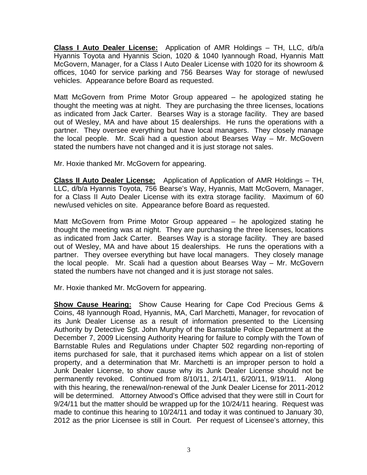**Class I Auto Dealer License:** Application of AMR Holdings – TH, LLC, d/b/a Hyannis Toyota and Hyannis Scion, 1020 & 1040 Iyannough Road, Hyannis Matt McGovern, Manager, for a Class I Auto Dealer License with 1020 for its showroom & offices, 1040 for service parking and 756 Bearses Way for storage of new/used vehicles. Appearance before Board as requested.

Matt McGovern from Prime Motor Group appeared – he apologized stating he thought the meeting was at night. They are purchasing the three licenses, locations as indicated from Jack Carter. Bearses Way is a storage facility. They are based out of Wesley, MA and have about 15 dealerships. He runs the operations with a partner. They oversee everything but have local managers. They closely manage the local people. Mr. Scali had a question about Bearses Way – Mr. McGovern stated the numbers have not changed and it is just storage not sales.

Mr. Hoxie thanked Mr. McGovern for appearing.

**Class II Auto Dealer License:** Application of Application of AMR Holdings – TH, LLC, d/b/a Hyannis Toyota, 756 Bearse's Way, Hyannis, Matt McGovern, Manager, for a Class II Auto Dealer License with its extra storage facility. Maximum of 60 new/used vehicles on site. Appearance before Board as requested.

Matt McGovern from Prime Motor Group appeared – he apologized stating he thought the meeting was at night. They are purchasing the three licenses, locations as indicated from Jack Carter. Bearses Way is a storage facility. They are based out of Wesley, MA and have about 15 dealerships. He runs the operations with a partner. They oversee everything but have local managers. They closely manage the local people. Mr. Scali had a question about Bearses Way – Mr. McGovern stated the numbers have not changed and it is just storage not sales.

Mr. Hoxie thanked Mr. McGovern for appearing.

**Show Cause Hearing:** Show Cause Hearing for Cape Cod Precious Gems & Coins, 48 Iyannough Road, Hyannis, MA, Carl Marchetti, Manager, for revocation of its Junk Dealer License as a result of information presented to the Licensing Authority by Detective Sgt. John Murphy of the Barnstable Police Department at the December 7, 2009 Licensing Authority Hearing for failure to comply with the Town of Barnstable Rules and Regulations under Chapter 502 regarding non-reporting of items purchased for sale, that it purchased items which appear on a list of stolen property, and a determination that Mr. Marchetti is an improper person to hold a Junk Dealer License, to show cause why its Junk Dealer License should not be permanently revoked. Continued from 8/10/11, 2/14/11, 6/20/11, 9/19/11. Along with this hearing, the renewal/non-renewal of the Junk Dealer License for 2011-2012 will be determined. Attorney Atwood's Office advised that they were still in Court for 9/24/11 but the matter should be wrapped up for the 10/24/11 hearing. Request was made to continue this hearing to 10/24/11 and today it was continued to January 30, 2012 as the prior Licensee is still in Court. Per request of Licensee's attorney, this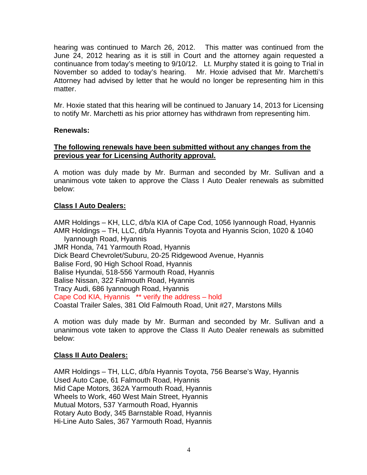hearing was continued to March 26, 2012. This matter was continued from the June 24, 2012 hearing as it is still in Court and the attorney again requested a continuance from today's meeting to 9/10/12. Lt. Murphy stated it is going to Trial in November so added to today's hearing. Mr. Hoxie advised that Mr. Marchetti's Attorney had advised by letter that he would no longer be representing him in this matter.

Mr. Hoxie stated that this hearing will be continued to January 14, 2013 for Licensing to notify Mr. Marchetti as his prior attorney has withdrawn from representing him.

## **Renewals:**

# **The following renewals have been submitted without any changes from the previous year for Licensing Authority approval.**

A motion was duly made by Mr. Burman and seconded by Mr. Sullivan and a unanimous vote taken to approve the Class I Auto Dealer renewals as submitted below:

# **Class I Auto Dealers:**

AMR Holdings – KH, LLC, d/b/a KIA of Cape Cod, 1056 Iyannough Road, Hyannis AMR Holdings – TH, LLC, d/b/a Hyannis Toyota and Hyannis Scion, 1020 & 1040 Iyannough Road, Hyannis JMR Honda, 741 Yarmouth Road, Hyannis Dick Beard Chevrolet/Suburu, 20-25 Ridgewood Avenue, Hyannis Balise Ford, 90 High School Road, Hyannis Balise Hyundai, 518-556 Yarmouth Road, Hyannis Balise Nissan, 322 Falmouth Road, Hyannis Tracy Audi, 686 Iyannough Road, Hyannis Cape Cod KIA, Hyannis \*\* verify the address – hold Coastal Trailer Sales, 381 Old Falmouth Road, Unit #27, Marstons Mills

A motion was duly made by Mr. Burman and seconded by Mr. Sullivan and a unanimous vote taken to approve the Class II Auto Dealer renewals as submitted below:

## **Class II Auto Dealers:**

AMR Holdings – TH, LLC, d/b/a Hyannis Toyota, 756 Bearse's Way, Hyannis Used Auto Cape, 61 Falmouth Road, Hyannis Mid Cape Motors, 362A Yarmouth Road, Hyannis Wheels to Work, 460 West Main Street, Hyannis Mutual Motors, 537 Yarmouth Road, Hyannis Rotary Auto Body, 345 Barnstable Road, Hyannis Hi-Line Auto Sales, 367 Yarmouth Road, Hyannis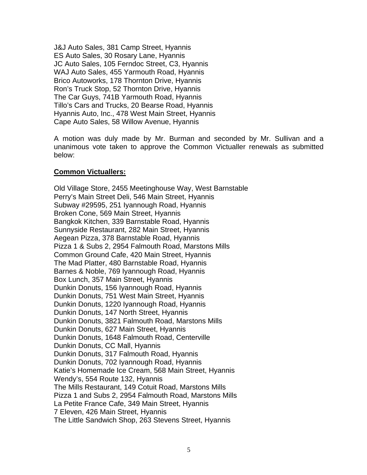J&J Auto Sales, 381 Camp Street, Hyannis ES Auto Sales, 30 Rosary Lane, Hyannis JC Auto Sales, 105 Ferndoc Street, C3, Hyannis WAJ Auto Sales, 455 Yarmouth Road, Hyannis Brico Autoworks, 178 Thornton Drive, Hyannis Ron's Truck Stop, 52 Thornton Drive, Hyannis The Car Guys, 741B Yarmouth Road, Hyannis Tillo's Cars and Trucks, 20 Bearse Road, Hyannis Hyannis Auto, Inc., 478 West Main Street, Hyannis Cape Auto Sales, 58 Willow Avenue, Hyannis

A motion was duly made by Mr. Burman and seconded by Mr. Sullivan and a unanimous vote taken to approve the Common Victualler renewals as submitted below:

## **Common Victuallers:**

Old Village Store, 2455 Meetinghouse Way, West Barnstable Perry's Main Street Deli, 546 Main Street, Hyannis Subway #29595, 251 Iyannough Road, Hyannis Broken Cone, 569 Main Street, Hyannis Bangkok Kitchen, 339 Barnstable Road, Hyannis Sunnyside Restaurant, 282 Main Street, Hyannis Aegean Pizza, 378 Barnstable Road, Hyannis Pizza 1 & Subs 2, 2954 Falmouth Road, Marstons Mills Common Ground Cafe, 420 Main Street, Hyannis The Mad Platter, 480 Barnstable Road, Hyannis Barnes & Noble, 769 Iyannough Road, Hyannis Box Lunch, 357 Main Street, Hyannis Dunkin Donuts, 156 Iyannough Road, Hyannis Dunkin Donuts, 751 West Main Street, Hyannis Dunkin Donuts, 1220 Iyannough Road, Hyannis Dunkin Donuts, 147 North Street, Hyannis Dunkin Donuts, 3821 Falmouth Road, Marstons Mills Dunkin Donuts, 627 Main Street, Hyannis Dunkin Donuts, 1648 Falmouth Road, Centerville Dunkin Donuts, CC Mall, Hyannis Dunkin Donuts, 317 Falmouth Road, Hyannis Dunkin Donuts, 702 Iyannough Road, Hyannis Katie's Homemade Ice Cream, 568 Main Street, Hyannis Wendy's, 554 Route 132, Hyannis The Mills Restaurant, 149 Cotuit Road, Marstons Mills Pizza 1 and Subs 2, 2954 Falmouth Road, Marstons Mills La Petite France Cafe, 349 Main Street, Hyannis 7 Eleven, 426 Main Street, Hyannis The Little Sandwich Shop, 263 Stevens Street, Hyannis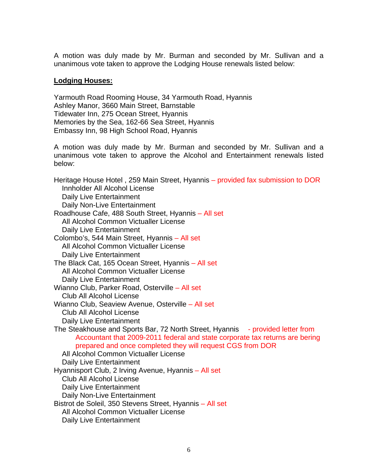A motion was duly made by Mr. Burman and seconded by Mr. Sullivan and a unanimous vote taken to approve the Lodging House renewals listed below:

#### **Lodging Houses:**

Yarmouth Road Rooming House, 34 Yarmouth Road, Hyannis Ashley Manor, 3660 Main Street, Barnstable Tidewater Inn, 275 Ocean Street, Hyannis Memories by the Sea, 162-66 Sea Street, Hyannis Embassy Inn, 98 High School Road, Hyannis

A motion was duly made by Mr. Burman and seconded by Mr. Sullivan and a unanimous vote taken to approve the Alcohol and Entertainment renewals listed below:

Heritage House Hotel , 259 Main Street, Hyannis – provided fax submission to DOR Innholder All Alcohol License Daily Live Entertainment Daily Non-Live Entertainment Roadhouse Cafe, 488 South Street, Hyannis – All set All Alcohol Common Victualler License Daily Live Entertainment Colombo's, 544 Main Street, Hyannis – All set All Alcohol Common Victualler License Daily Live Entertainment The Black Cat, 165 Ocean Street, Hyannis – All set All Alcohol Common Victualler License Daily Live Entertainment Wianno Club, Parker Road, Osterville – All set Club All Alcohol License Wianno Club, Seaview Avenue, Osterville – All set Club All Alcohol License Daily Live Entertainment The Steakhouse and Sports Bar, 72 North Street, Hyannis - provided letter from Accountant that 2009-2011 federal and state corporate tax returns are bering prepared and once completed they will request CGS from DOR All Alcohol Common Victualler License Daily Live Entertainment Hyannisport Club, 2 Irving Avenue, Hyannis – All set Club All Alcohol License Daily Live Entertainment Daily Non-Live Entertainment Bistrot de Soleil, 350 Stevens Street, Hyannis – All set All Alcohol Common Victualler License

Daily Live Entertainment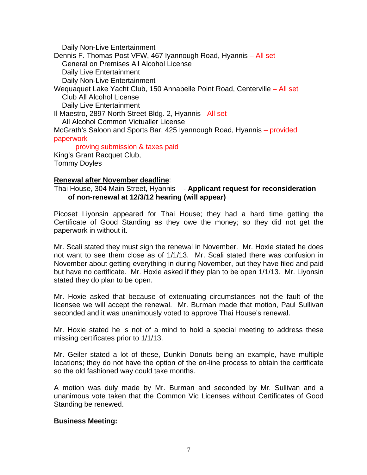Daily Non-Live Entertainment Dennis F. Thomas Post VFW, 467 Iyannough Road, Hyannis – All set General on Premises All Alcohol License Daily Live Entertainment Daily Non-Live Entertainment Wequaquet Lake Yacht Club, 150 Annabelle Point Road, Centerville – All set Club All Alcohol License Daily Live Entertainment Il Maestro, 2897 North Street Bldg. 2, Hyannis - All set All Alcohol Common Victualler License McGrath's Saloon and Sports Bar, 425 Iyannough Road, Hyannis – provided paperwork proving submission & taxes paid King's Grant Racquet Club,

Tommy Doyles

#### **Renewal after November deadline**:

Thai House, 304 Main Street, Hyannis - **Applicant request for reconsideration of non-renewal at 12/3/12 hearing (will appear)** 

Picoset Liyonsin appeared for Thai House; they had a hard time getting the Certificate of Good Standing as they owe the money; so they did not get the paperwork in without it.

Mr. Scali stated they must sign the renewal in November. Mr. Hoxie stated he does not want to see them close as of 1/1/13. Mr. Scali stated there was confusion in November about getting everything in during November, but they have filed and paid but have no certificate. Mr. Hoxie asked if they plan to be open 1/1/13. Mr. Liyonsin stated they do plan to be open.

Mr. Hoxie asked that because of extenuating circumstances not the fault of the licensee we will accept the renewal. Mr. Burman made that motion, Paul Sullivan seconded and it was unanimously voted to approve Thai House's renewal.

Mr. Hoxie stated he is not of a mind to hold a special meeting to address these missing certificates prior to 1/1/13.

Mr. Geiler stated a lot of these, Dunkin Donuts being an example, have multiple locations; they do not have the option of the on-line process to obtain the certificate so the old fashioned way could take months.

A motion was duly made by Mr. Burman and seconded by Mr. Sullivan and a unanimous vote taken that the Common Vic Licenses without Certificates of Good Standing be renewed.

## **Business Meeting:**